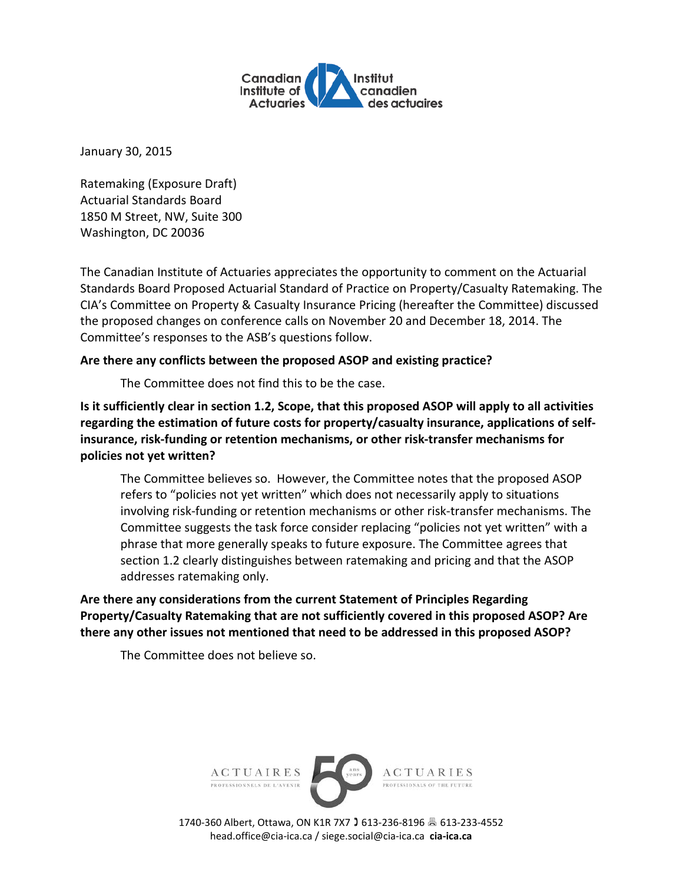

January 30, 2015

Ratemaking (Exposure Draft) Actuarial Standards Board 1850 M Street, NW, Suite 300 Washington, DC 20036

The Canadian Institute of Actuaries appreciates the opportunity to comment on the Actuarial Standards Board Proposed Actuarial Standard of Practice on Property/Casualty Ratemaking. The CIA's Committee on Property & Casualty Insurance Pricing (hereafter the Committee) discussed the proposed changes on conference calls on November 20 and December 18, 2014. The Committee's responses to the ASB's questions follow.

## **Are there any conflicts between the proposed ASOP and existing practice?**

The Committee does not find this to be the case.

**Is it sufficiently clear in section 1.2, Scope, that this proposed ASOP will apply to all activities regarding the estimation of future costs for property/casualty insurance, applications of selfinsurance, risk-funding or retention mechanisms, or other risk-transfer mechanisms for policies not yet written?** 

The Committee believes so. However, the Committee notes that the proposed ASOP refers to "policies not yet written" which does not necessarily apply to situations involving risk-funding or retention mechanisms or other risk-transfer mechanisms. The Committee suggests the task force consider replacing "policies not yet written" with a phrase that more generally speaks to future exposure. The Committee agrees that section 1.2 clearly distinguishes between ratemaking and pricing and that the ASOP addresses ratemaking only.

**Are there any considerations from the current Statement of Principles Regarding Property/Casualty Ratemaking that are not sufficiently covered in this proposed ASOP? Are there any other issues not mentioned that need to be addressed in this proposed ASOP?** 

The Committee does not believe so.



1740-360 Albert, Ottawa, ON K1R 7X7 613-236-8196 613-233-4552 head.office@cia-ica.ca / siege.social@cia-ica.ca **cia-ica.ca**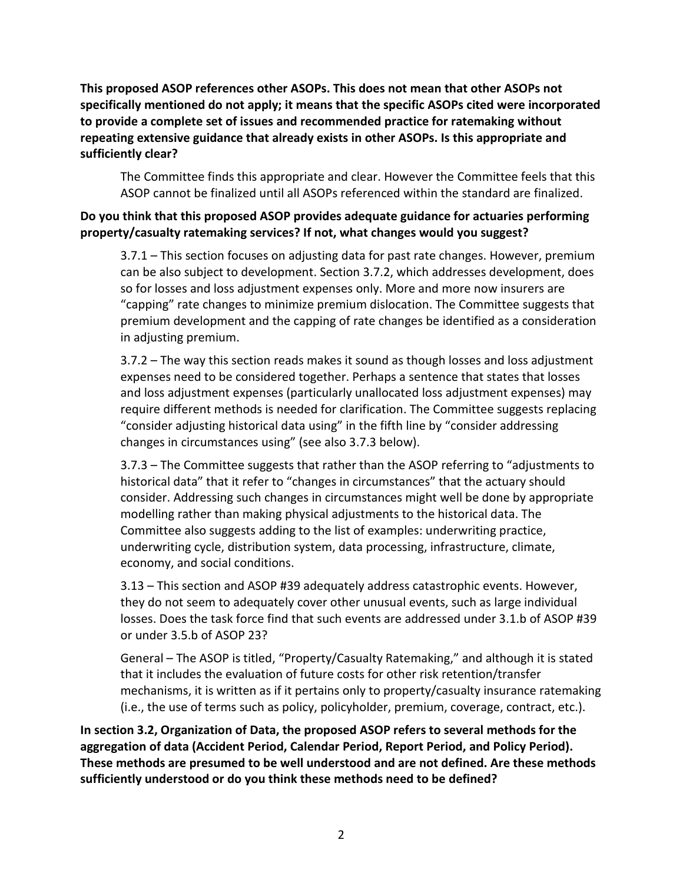**This proposed ASOP references other ASOPs. This does not mean that other ASOPs not specifically mentioned do not apply; it means that the specific ASOPs cited were incorporated to provide a complete set of issues and recommended practice for ratemaking without repeating extensive guidance that already exists in other ASOPs. Is this appropriate and sufficiently clear?** 

The Committee finds this appropriate and clear. However the Committee feels that this ASOP cannot be finalized until all ASOPs referenced within the standard are finalized.

## **Do you think that this proposed ASOP provides adequate guidance for actuaries performing property/casualty ratemaking services? If not, what changes would you suggest?**

3.7.1 – This section focuses on adjusting data for past rate changes. However, premium can be also subject to development. Section 3.7.2, which addresses development, does so for losses and loss adjustment expenses only. More and more now insurers are "capping" rate changes to minimize premium dislocation. The Committee suggests that premium development and the capping of rate changes be identified as a consideration in adjusting premium.

3.7.2 – The way this section reads makes it sound as though losses and loss adjustment expenses need to be considered together. Perhaps a sentence that states that losses and loss adjustment expenses (particularly unallocated loss adjustment expenses) may require different methods is needed for clarification. The Committee suggests replacing "consider adjusting historical data using" in the fifth line by "consider addressing changes in circumstances using" (see also 3.7.3 below).

3.7.3 – The Committee suggests that rather than the ASOP referring to "adjustments to historical data" that it refer to "changes in circumstances" that the actuary should consider. Addressing such changes in circumstances might well be done by appropriate modelling rather than making physical adjustments to the historical data. The Committee also suggests adding to the list of examples: underwriting practice, underwriting cycle, distribution system, data processing, infrastructure, climate, economy, and social conditions.

3.13 – This section and ASOP #39 adequately address catastrophic events. However, they do not seem to adequately cover other unusual events, such as large individual losses. Does the task force find that such events are addressed under 3.1.b of ASOP #39 or under 3.5.b of ASOP 23?

General – The ASOP is titled, "Property/Casualty Ratemaking," and although it is stated that it includes the evaluation of future costs for other risk retention/transfer mechanisms, it is written as if it pertains only to property/casualty insurance ratemaking (i.e., the use of terms such as policy, policyholder, premium, coverage, contract, etc.).

**In section 3.2, Organization of Data, the proposed ASOP refers to several methods for the aggregation of data (Accident Period, Calendar Period, Report Period, and Policy Period). These methods are presumed to be well understood and are not defined. Are these methods sufficiently understood or do you think these methods need to be defined?**